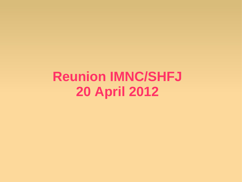**Reunion IMNC/SHFJ 20 April 2012**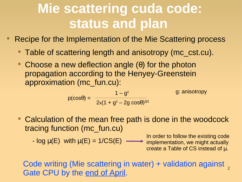## **Mie scattering cuda code: status and plan**

Recipe for the Implementation of the Mie Scattering process

- Table of scattering length and anisotropy (mc\_cst.cu).
- Choose a new deflection angle  $(\theta)$  for the photon propagation according to the Henyey-Greenstein approximation (mc\_fun.cu):

$$
p(\cos\theta) = \frac{1 - g^2}{2x(1 + g^2 - 2g\cos\theta)^{3/2}}
$$
g: anisotropy

 Calculation of the mean free path is done in the woodcock tracing function (mc\_fun.cu)

 $-$  log  $\mu(E)$  with  $\mu(E) = 1/CS(E)$ 

In order to follow the existing code implementation, we might actually create a Table of CS instead of µ.

Code writing (Mie scattering in water) + validation against Gate CPU by the end of April.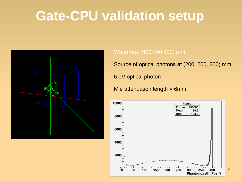## **Gate-CPU validation setup**



#### Water box (400,400,400) mm

Source of optical photons at (200, 200, 200) mm

6 eV optical photon

Mie attenuation length = 6mm



3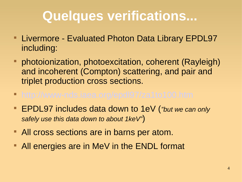# **Quelques verifications...**

- **Livermore Evaluated Photon Data Library EPDL97** including:
- **photoionization, photoexcitation, coherent (Rayleigh)** and incoherent (Compton) scattering, and pair and triplet production cross sections.
- <http://www-nds.iaea.org/epdl97/za1to100.htm>
- EPDL97 includes data down to 1eV (*"but we can only safely use this data down to about 1keV"*)
- **All cross sections are in barns per atom.**
- **All energies are in MeV in the ENDL format**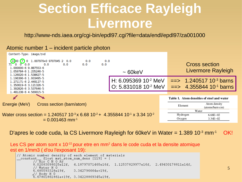## **Section Efficace Rayleigh Livermore**

http://www-nds.iaea.org/cgi-bin/epdl97.cgi?file=data/endl/epdl97/za001000

### Atomic number 1 – incident particle photon

 $Contant$  Tung, image  $Lud$ 

|  | Content-Type: Image/Zvu                                                                                                                                                                                         |  |                           |            |            |                                                                                |       |                                                                                                |  |
|--|-----------------------------------------------------------------------------------------------------------------------------------------------------------------------------------------------------------------|--|---------------------------|------------|------------|--------------------------------------------------------------------------------|-------|------------------------------------------------------------------------------------------------|--|
|  | $\begin{array}{ c c c c c c }\n\hline\n1000 & 7 & 0 & 1.007970 + 0 & 9707045 & 2 & 0.0 \\ 71 & 0 & 0 & 0.0 & 0.0 & 0.0\n\end{array}$<br>1.000000-6 9.887553-6<br>1.059784-6 1.235246-5<br>1.126020-6 1.538627-5 |  | 0.0                       | 0.0<br>0.0 | 0.0<br>0.0 | $\sim 60$ keV                                                                  |       | <b>Cross section</b><br>Livermore Rayleigh                                                     |  |
|  | 1.196396-6 1.933495-5<br>1.271171-6 2.449127-5<br>1.350619-6 3.121326-5<br>1, 392826-6 3, 537646-5                                                                                                              |  |                           |            |            | H: 6.095369 10 <sup>-2</sup> MeV<br>$\,$ O: 5.831018 10 <sup>-2</sup> MeV $\,$ |       | $\Rightarrow$ 1.240517 10 <sup>-3</sup> barns<br>$\Rightarrow$ 4.355844 10 <sup>-1</sup> barns |  |
|  | 1.481238-6 4.569015-5<br>Energie (MeV)                                                                                                                                                                          |  | Cross section (barn/atom) |            |            |                                                                                |       | Table 1. Atom densities of steel and water<br>Atom density<br>Element<br>(atoms/barn·cm)       |  |
|  |                                                                                                                                                                                                                 |  |                           |            |            |                                                                                | Water |                                                                                                |  |

```
Water cross section = 1.240517 10^{-3}x 6.68 10^{-2} + 4.355844 10^{-1} x 3.34 10^{-2}= 0.001463 mm<sup>-1</sup>
```
D'apres le code cuda, la CS Livermore Rayleigh for 60keV in Water =  $1.389 10^{-3}$  mm<sup>-1</sup> OK!

Les CS per atom sont x 10<sup>-22</sup> pour etre en mm<sup>2</sup> dans le code cuda et la densite atomique est en 1/mm3 ( d'ou l'exposant 19):

```
// Atomic number density of each element of materials
\frac{1}{2} constant float mat atom num dens [119] = {
         1/\sqrt{A}ir C N O A\overline{r}8.02083098025e12f. 4.18797071465e16f. 1.12537829977e16f. 2.49430178811e14f.
          / Water H O
        6.685593328e19f.
                              3.342796664e+19f.
        √/ Body H 0
         6.67801861861e+19f, 3.34228869345e19f,
```
 $6.68E - 02$ 

 $3.34E - 02$ 

Hydrogen

Oxygen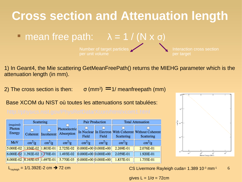

1) In Geant4, the Mie scattering GetMeanFreePath() returns the MIEHG parameter which is the attenuation length (in mm).

2) The cross section is then:  $σ(mm^2) = 1/meanfreepath (mm)$ 

Base XCOM du NIST où toutes les attenuations sont tabulées:

| (required)                        | Scattering             |                        |                                         |                        | Pair Production         | <b>Total Attenuation</b> |                                                                     |  |
|-----------------------------------|------------------------|------------------------|-----------------------------------------|------------------------|-------------------------|--------------------------|---------------------------------------------------------------------|--|
| Photon<br>Energy                  | н<br>Coherent          | Incoherent             | Photoelectric<br>Absorption             | н<br>Field             | Field                   | Scattering               | In Nuclear In Electron With Coherent Without Coherent<br>Scattering |  |
| MeV                               | $\text{cm}^2/\text{g}$ | $\text{cm}^2/\text{g}$ | $\text{cm}^2/\text{g}$                  | $\text{cm}^2/\text{g}$ | $\text{cm}^2/\text{g}$  | $\text{cm}^2/\text{g}$   | $\text{cm}^2/\text{g}$                                              |  |
| 5.000E-02 1.936E-02 1.803E-01     |                        |                        | 2.725E-02                               |                        | $ 0.000E+00 0.000E+00 $ | 2.269E-01                | 2.076E-01                                                           |  |
| $6.000E - 02$ 1.392E-02 1.770E-01 |                        |                        | 1.493E-02                               |                        | $0.000E+00$ $0.000E+00$ | 2.059E-01                | 1.920E-01                                                           |  |
|                                   |                        |                        | 8.000E-02 8.165E-03 1.697E-01 5.770E-03 |                        | $0.000E+00$ $0.000E+00$ | 1.837E-01                | 1.755E-01                                                           |  |



6 L<sub>rayleigh</sub> = 1/1.392E-2 cm  $\rightarrow$  72 cm